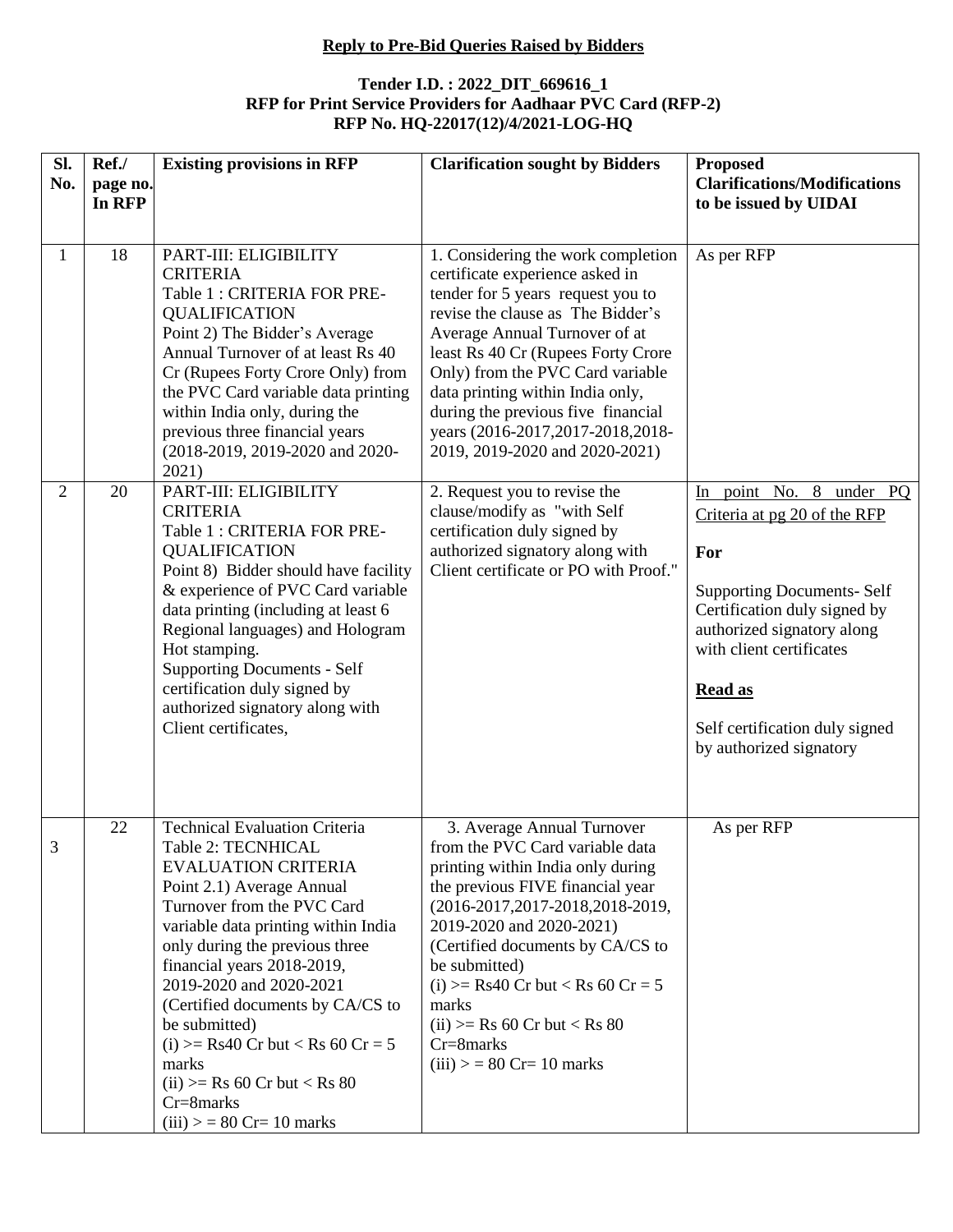## **Reply to Pre-Bid Queries Raised by Bidders**

## **Tender I.D. : 2022\_DIT\_669616\_1 RFP for Print Service Providers for Aadhaar PVC Card (RFP-2) RFP No. HQ-22017(12)/4/2021-LOG-HQ**

| Sl.<br>No.                     | Ref./<br>page no.<br>In RFP | <b>Existing provisions in RFP</b>                                                                                                                                                                                                                                                                                                                                                                                                                                        | <b>Clarification sought by Bidders</b>                                                                                                                                                                                                                                                                                                                                                                                                                                      | <b>Proposed</b><br><b>Clarifications/Modifications</b><br>to be issued by UIDAI                                                                                                                                   |
|--------------------------------|-----------------------------|--------------------------------------------------------------------------------------------------------------------------------------------------------------------------------------------------------------------------------------------------------------------------------------------------------------------------------------------------------------------------------------------------------------------------------------------------------------------------|-----------------------------------------------------------------------------------------------------------------------------------------------------------------------------------------------------------------------------------------------------------------------------------------------------------------------------------------------------------------------------------------------------------------------------------------------------------------------------|-------------------------------------------------------------------------------------------------------------------------------------------------------------------------------------------------------------------|
| $\mathbf{1}$<br>$\overline{2}$ | 18<br>20                    | PART-III: ELIGIBILITY<br><b>CRITERIA</b><br>Table 1 : CRITERIA FOR PRE-<br><b>QUALIFICATION</b><br>Point 2) The Bidder's Average<br>Annual Turnover of at least Rs 40<br>Cr (Rupees Forty Crore Only) from<br>the PVC Card variable data printing<br>within India only, during the<br>previous three financial years<br>(2018-2019, 2019-2020 and 2020-<br>2021)<br>PART-III: ELIGIBILITY<br><b>CRITERIA</b>                                                             | 1. Considering the work completion<br>certificate experience asked in<br>tender for 5 years request you to<br>revise the clause as The Bidder's<br>Average Annual Turnover of at<br>least Rs 40 Cr (Rupees Forty Crore<br>Only) from the PVC Card variable<br>data printing within India only,<br>during the previous five financial<br>years (2016-2017, 2017-2018, 2018-<br>2019, 2019-2020 and 2020-2021)<br>2. Request you to revise the<br>clause/modify as "with Self | As per RFP<br>In point No. 8 under PQ<br>Criteria at pg 20 of the RFP                                                                                                                                             |
|                                |                             | Table 1 : CRITERIA FOR PRE-<br><b>QUALIFICATION</b><br>Point 8) Bidder should have facility<br>& experience of PVC Card variable<br>data printing (including at least 6<br>Regional languages) and Hologram<br>Hot stamping.<br><b>Supporting Documents - Self</b><br>certification duly signed by<br>authorized signatory along with<br>Client certificates,                                                                                                            | certification duly signed by<br>authorized signatory along with<br>Client certificate or PO with Proof."                                                                                                                                                                                                                                                                                                                                                                    | For<br><b>Supporting Documents- Self</b><br>Certification duly signed by<br>authorized signatory along<br>with client certificates<br><b>Read as</b><br>Self certification duly signed<br>by authorized signatory |
| 3                              | 22                          | <b>Technical Evaluation Criteria</b><br>Table 2: TECNHICAL<br><b>EVALUATION CRITERIA</b><br>Point 2.1) Average Annual<br>Turnover from the PVC Card<br>variable data printing within India<br>only during the previous three<br>financial years 2018-2019,<br>2019-2020 and 2020-2021<br>(Certified documents by CA/CS to<br>be submitted)<br>(i) $>=$ Rs40 Cr but < Rs 60 Cr = 5<br>marks<br>$(ii) \geq Rs$ 60 Cr but < Rs 80<br>Cr=8marks<br>$(iii) > 80$ Cr= 10 marks | 3. Average Annual Turnover<br>from the PVC Card variable data<br>printing within India only during<br>the previous FIVE financial year<br>(2016-2017, 2017-2018, 2018-2019,<br>2019-2020 and 2020-2021)<br>(Certified documents by CA/CS to<br>be submitted)<br>(i) $>=$ Rs40 Cr but < Rs 60 Cr = 5<br>marks<br>$(ii) \geq Rs$ 60 Cr but < Rs 80<br>Cr=8marks<br>$(iii) > 80$ Cr= 10 marks                                                                                  | As per RFP                                                                                                                                                                                                        |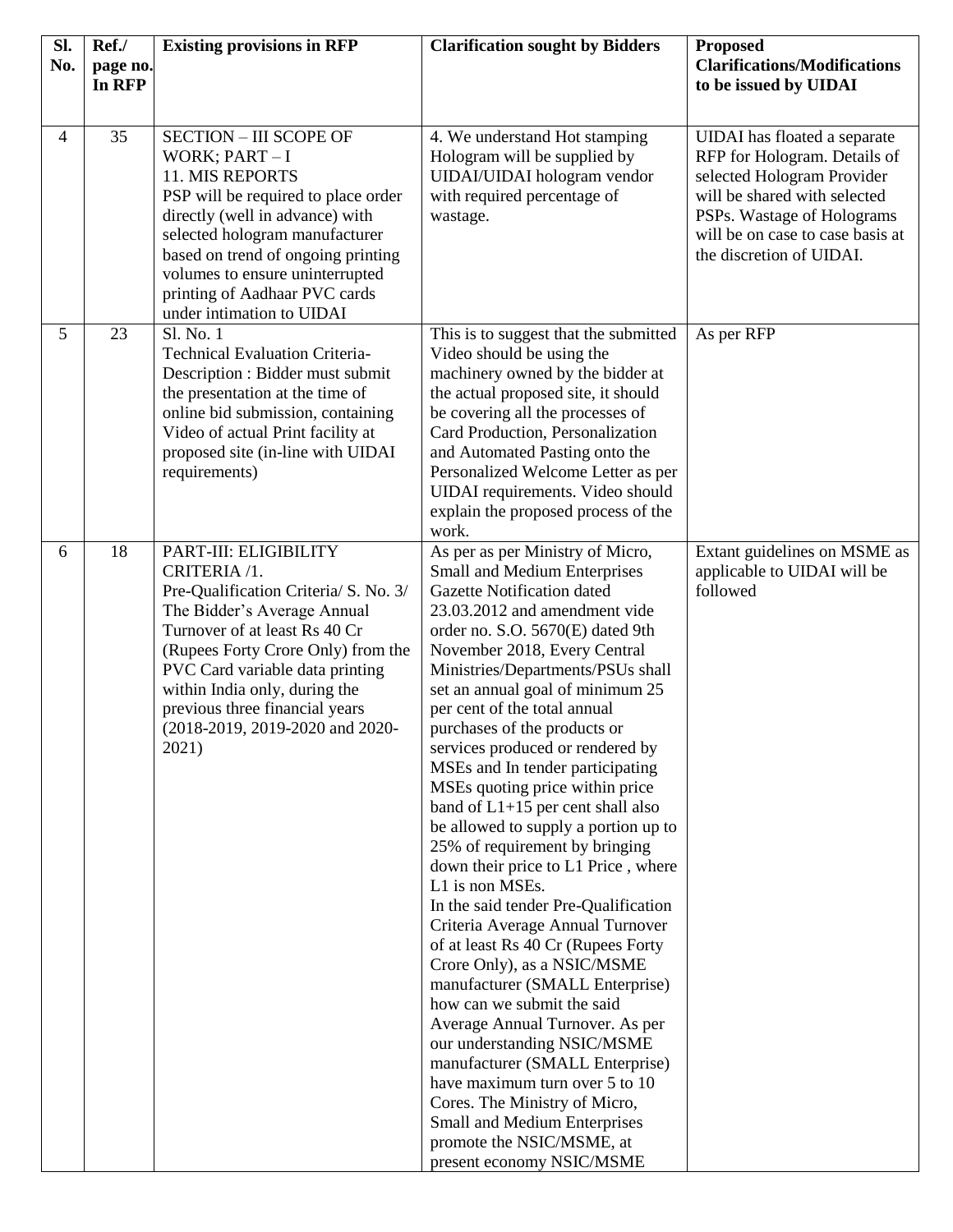| Sl.<br>No.     | Ref./<br>page no. | <b>Existing provisions in RFP</b>                                                                                                                                                                                                                                                                                                      | <b>Clarification sought by Bidders</b>                                                                                                                                                                                                                                                                                                                                                                                                                                                                                                                                                                                                                                                                                                                                                                                                                                                                                                                                                                                                                                                                                        | <b>Proposed</b><br><b>Clarifications/Modifications</b>                                                                                                                                                                   |
|----------------|-------------------|----------------------------------------------------------------------------------------------------------------------------------------------------------------------------------------------------------------------------------------------------------------------------------------------------------------------------------------|-------------------------------------------------------------------------------------------------------------------------------------------------------------------------------------------------------------------------------------------------------------------------------------------------------------------------------------------------------------------------------------------------------------------------------------------------------------------------------------------------------------------------------------------------------------------------------------------------------------------------------------------------------------------------------------------------------------------------------------------------------------------------------------------------------------------------------------------------------------------------------------------------------------------------------------------------------------------------------------------------------------------------------------------------------------------------------------------------------------------------------|--------------------------------------------------------------------------------------------------------------------------------------------------------------------------------------------------------------------------|
|                | In RFP            |                                                                                                                                                                                                                                                                                                                                        |                                                                                                                                                                                                                                                                                                                                                                                                                                                                                                                                                                                                                                                                                                                                                                                                                                                                                                                                                                                                                                                                                                                               | to be issued by UIDAI                                                                                                                                                                                                    |
|                |                   |                                                                                                                                                                                                                                                                                                                                        |                                                                                                                                                                                                                                                                                                                                                                                                                                                                                                                                                                                                                                                                                                                                                                                                                                                                                                                                                                                                                                                                                                                               |                                                                                                                                                                                                                          |
| $\overline{4}$ | 35                | <b>SECTION - III SCOPE OF</b><br>WORK; $PART-I$<br>11. MIS REPORTS<br>PSP will be required to place order<br>directly (well in advance) with<br>selected hologram manufacturer<br>based on trend of ongoing printing<br>volumes to ensure uninterrupted<br>printing of Aadhaar PVC cards<br>under intimation to UIDAI                  | 4. We understand Hot stamping<br>Hologram will be supplied by<br>UIDAI/UIDAI hologram vendor<br>with required percentage of<br>wastage.                                                                                                                                                                                                                                                                                                                                                                                                                                                                                                                                                                                                                                                                                                                                                                                                                                                                                                                                                                                       | UIDAI has floated a separate<br>RFP for Hologram. Details of<br>selected Hologram Provider<br>will be shared with selected<br>PSPs. Wastage of Holograms<br>will be on case to case basis at<br>the discretion of UIDAI. |
| 5              | 23                | Sl. No. 1<br><b>Technical Evaluation Criteria-</b><br>Description : Bidder must submit<br>the presentation at the time of<br>online bid submission, containing<br>Video of actual Print facility at<br>proposed site (in-line with UIDAI<br>requirements)                                                                              | This is to suggest that the submitted<br>Video should be using the<br>machinery owned by the bidder at<br>the actual proposed site, it should<br>be covering all the processes of<br>Card Production, Personalization<br>and Automated Pasting onto the<br>Personalized Welcome Letter as per<br>UIDAI requirements. Video should<br>explain the proposed process of the<br>work.                                                                                                                                                                                                                                                                                                                                                                                                                                                                                                                                                                                                                                                                                                                                             | As per RFP                                                                                                                                                                                                               |
| 6              | 18                | PART-III: ELIGIBILITY<br>CRITERIA /1.<br>Pre-Qualification Criteria/ S. No. 3/<br>The Bidder's Average Annual<br>Turnover of at least Rs 40 Cr<br>(Rupees Forty Crore Only) from the<br>PVC Card variable data printing<br>within India only, during the<br>previous three financial years<br>(2018-2019, 2019-2020 and 2020-<br>2021) | As per as per Ministry of Micro,<br>Small and Medium Enterprises<br><b>Gazette Notification dated</b><br>23.03.2012 and amendment vide<br>order no. S.O. 5670(E) dated 9th<br>November 2018, Every Central<br>Ministries/Departments/PSUs shall<br>set an annual goal of minimum 25<br>per cent of the total annual<br>purchases of the products or<br>services produced or rendered by<br>MSEs and In tender participating<br>MSEs quoting price within price<br>band of $L1+15$ per cent shall also<br>be allowed to supply a portion up to<br>25% of requirement by bringing<br>down their price to L1 Price, where<br>L1 is non MSEs.<br>In the said tender Pre-Qualification<br>Criteria Average Annual Turnover<br>of at least Rs 40 Cr (Rupees Forty<br>Crore Only), as a NSIC/MSME<br>manufacturer (SMALL Enterprise)<br>how can we submit the said<br>Average Annual Turnover. As per<br>our understanding NSIC/MSME<br>manufacturer (SMALL Enterprise)<br>have maximum turn over 5 to 10<br>Cores. The Ministry of Micro,<br>Small and Medium Enterprises<br>promote the NSIC/MSME, at<br>present economy NSIC/MSME | Extant guidelines on MSME as<br>applicable to UIDAI will be<br>followed                                                                                                                                                  |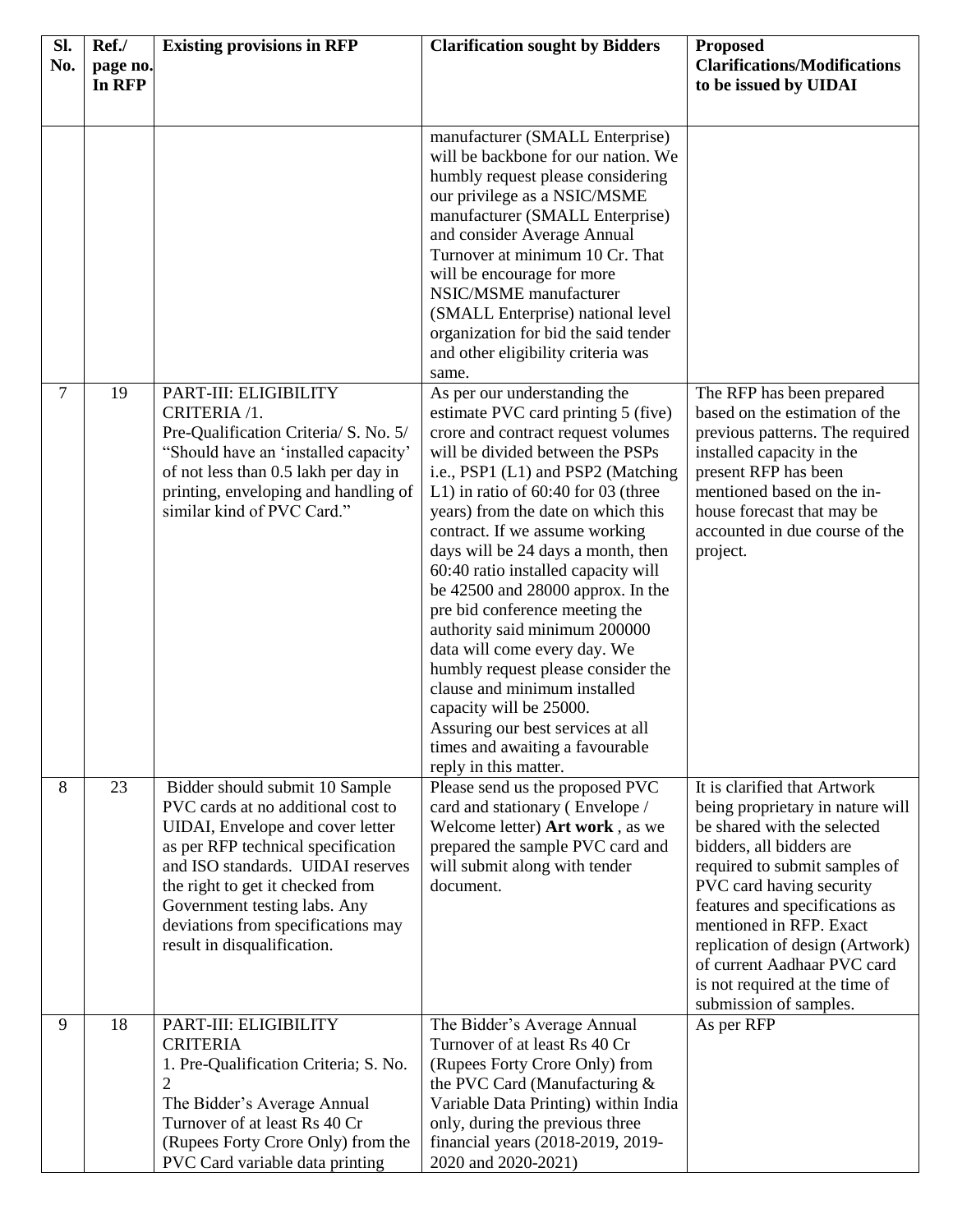| Sl.            | Ref./              | <b>Existing provisions in RFP</b>                                                                                                                                                                                                                                                                                            | <b>Clarification sought by Bidders</b>                                                                                                                                                                                                                                                                                                                                                                                                                                                                                                                                                                                                                                                                                          | <b>Proposed</b>                                                                                                                                                                                                                                                                                                                                                                     |
|----------------|--------------------|------------------------------------------------------------------------------------------------------------------------------------------------------------------------------------------------------------------------------------------------------------------------------------------------------------------------------|---------------------------------------------------------------------------------------------------------------------------------------------------------------------------------------------------------------------------------------------------------------------------------------------------------------------------------------------------------------------------------------------------------------------------------------------------------------------------------------------------------------------------------------------------------------------------------------------------------------------------------------------------------------------------------------------------------------------------------|-------------------------------------------------------------------------------------------------------------------------------------------------------------------------------------------------------------------------------------------------------------------------------------------------------------------------------------------------------------------------------------|
| No.            | page no.<br>In RFP |                                                                                                                                                                                                                                                                                                                              |                                                                                                                                                                                                                                                                                                                                                                                                                                                                                                                                                                                                                                                                                                                                 | <b>Clarifications/Modifications</b><br>to be issued by UIDAI                                                                                                                                                                                                                                                                                                                        |
|                |                    |                                                                                                                                                                                                                                                                                                                              |                                                                                                                                                                                                                                                                                                                                                                                                                                                                                                                                                                                                                                                                                                                                 |                                                                                                                                                                                                                                                                                                                                                                                     |
|                |                    |                                                                                                                                                                                                                                                                                                                              | manufacturer (SMALL Enterprise)<br>will be backbone for our nation. We<br>humbly request please considering<br>our privilege as a NSIC/MSME<br>manufacturer (SMALL Enterprise)<br>and consider Average Annual<br>Turnover at minimum 10 Cr. That<br>will be encourage for more<br>NSIC/MSME manufacturer<br>(SMALL Enterprise) national level<br>organization for bid the said tender<br>and other eligibility criteria was<br>same.                                                                                                                                                                                                                                                                                            |                                                                                                                                                                                                                                                                                                                                                                                     |
| $\overline{7}$ | 19                 | PART-III: ELIGIBILITY<br>CRITERIA /1.<br>Pre-Qualification Criteria/ S. No. 5/<br>"Should have an 'installed capacity'<br>of not less than 0.5 lakh per day in<br>printing, enveloping and handling of<br>similar kind of PVC Card."                                                                                         | As per our understanding the<br>estimate PVC card printing 5 (five)<br>crore and contract request volumes<br>will be divided between the PSPs<br>i.e., PSP1 (L1) and PSP2 (Matching<br>L1) in ratio of $60:40$ for 03 (three<br>years) from the date on which this<br>contract. If we assume working<br>days will be 24 days a month, then<br>60:40 ratio installed capacity will<br>be $42500$ and $28000$ approx. In the<br>pre bid conference meeting the<br>authority said minimum 200000<br>data will come every day. We<br>humbly request please consider the<br>clause and minimum installed<br>capacity will be 25000.<br>Assuring our best services at all<br>times and awaiting a favourable<br>reply in this matter. | The RFP has been prepared<br>based on the estimation of the<br>previous patterns. The required<br>installed capacity in the<br>present RFP has been<br>mentioned based on the in-<br>house forecast that may be<br>accounted in due course of the<br>project.                                                                                                                       |
| 8              | 23                 | Bidder should submit 10 Sample<br>PVC cards at no additional cost to<br>UIDAI, Envelope and cover letter<br>as per RFP technical specification<br>and ISO standards. UIDAI reserves<br>the right to get it checked from<br>Government testing labs. Any<br>deviations from specifications may<br>result in disqualification. | Please send us the proposed PVC<br>card and stationary (Envelope /<br>Welcome letter) Art work, as we<br>prepared the sample PVC card and<br>will submit along with tender<br>document.                                                                                                                                                                                                                                                                                                                                                                                                                                                                                                                                         | It is clarified that Artwork<br>being proprietary in nature will<br>be shared with the selected<br>bidders, all bidders are<br>required to submit samples of<br>PVC card having security<br>features and specifications as<br>mentioned in RFP. Exact<br>replication of design (Artwork)<br>of current Aadhaar PVC card<br>is not required at the time of<br>submission of samples. |
| 9              | 18                 | PART-III: ELIGIBILITY<br><b>CRITERIA</b><br>1. Pre-Qualification Criteria; S. No.<br>2<br>The Bidder's Average Annual<br>Turnover of at least Rs 40 Cr<br>(Rupees Forty Crore Only) from the<br>PVC Card variable data printing                                                                                              | The Bidder's Average Annual<br>Turnover of at least Rs 40 Cr<br>(Rupees Forty Crore Only) from<br>the PVC Card (Manufacturing $&$<br>Variable Data Printing) within India<br>only, during the previous three<br>financial years (2018-2019, 2019-<br>2020 and 2020-2021)                                                                                                                                                                                                                                                                                                                                                                                                                                                        | As per RFP                                                                                                                                                                                                                                                                                                                                                                          |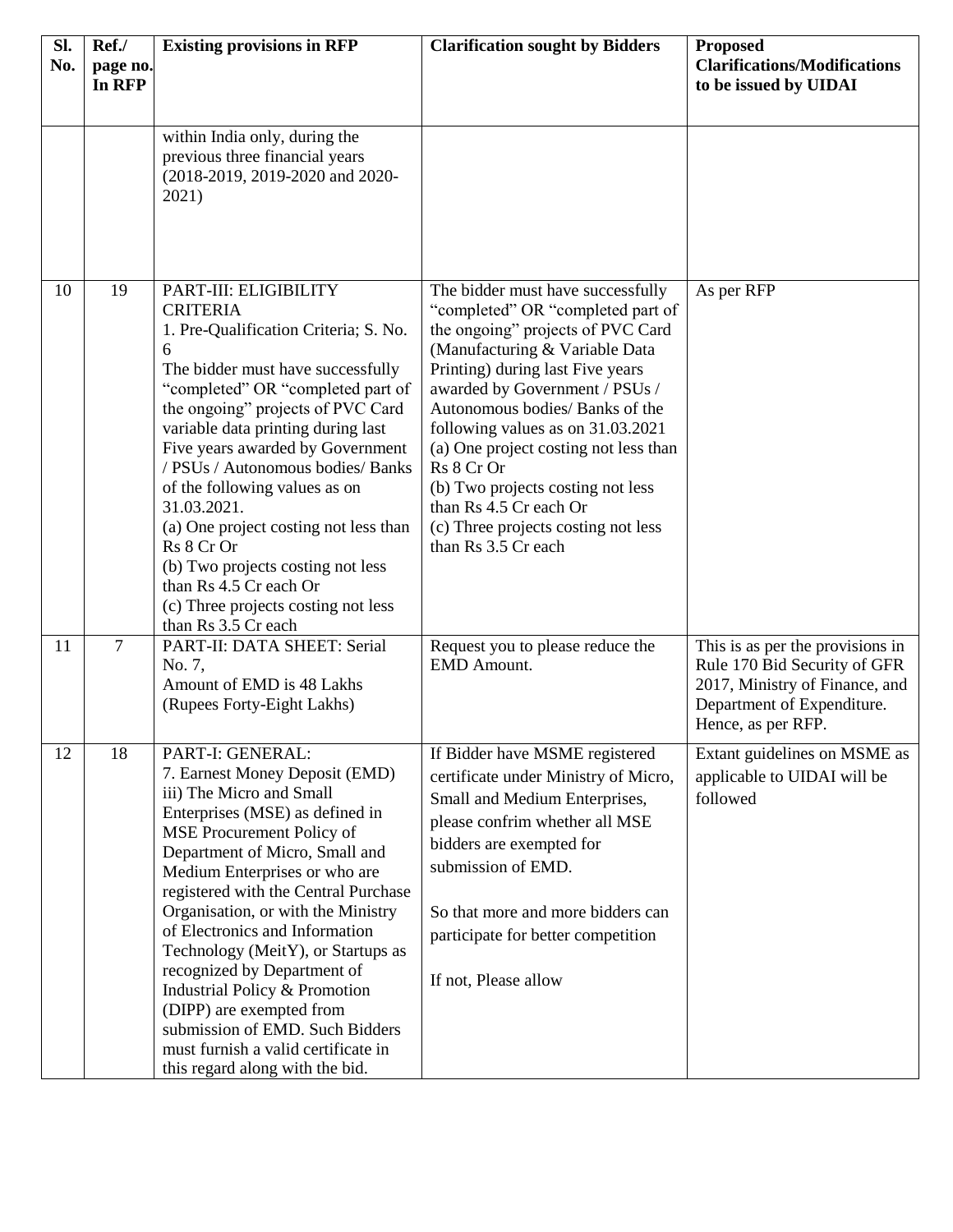| Sl.<br>No. | Ref./<br>page no.<br>In RFP | <b>Existing provisions in RFP</b>                                                                                                                                                                                                                                                                                                                                                                                                                                                                                                                                                | <b>Clarification sought by Bidders</b>                                                                                                                                                                                                                                                                                                                                                                                                                                          | <b>Proposed</b><br><b>Clarifications/Modifications</b><br>to be issued by UIDAI                                                                        |
|------------|-----------------------------|----------------------------------------------------------------------------------------------------------------------------------------------------------------------------------------------------------------------------------------------------------------------------------------------------------------------------------------------------------------------------------------------------------------------------------------------------------------------------------------------------------------------------------------------------------------------------------|---------------------------------------------------------------------------------------------------------------------------------------------------------------------------------------------------------------------------------------------------------------------------------------------------------------------------------------------------------------------------------------------------------------------------------------------------------------------------------|--------------------------------------------------------------------------------------------------------------------------------------------------------|
|            |                             | within India only, during the<br>previous three financial years<br>(2018-2019, 2019-2020 and 2020-<br>2021)                                                                                                                                                                                                                                                                                                                                                                                                                                                                      |                                                                                                                                                                                                                                                                                                                                                                                                                                                                                 |                                                                                                                                                        |
| 10         | 19                          | PART-III: ELIGIBILITY<br><b>CRITERIA</b><br>1. Pre-Qualification Criteria; S. No.<br>6<br>The bidder must have successfully<br>"completed" OR "completed part of<br>the ongoing" projects of PVC Card<br>variable data printing during last<br>Five years awarded by Government<br>/ PSUs / Autonomous bodies/ Banks<br>of the following values as on<br>31.03.2021.<br>(a) One project costing not less than<br>Rs 8 Cr Or<br>(b) Two projects costing not less<br>than Rs 4.5 Cr each Or<br>(c) Three projects costing not less<br>than Rs 3.5 Cr each                         | The bidder must have successfully<br>"completed" OR "completed part of<br>the ongoing" projects of PVC Card<br>(Manufacturing & Variable Data<br>Printing) during last Five years<br>awarded by Government / PSUs /<br>Autonomous bodies/ Banks of the<br>following values as on 31.03.2021<br>(a) One project costing not less than<br>Rs 8 Cr Or<br>(b) Two projects costing not less<br>than Rs 4.5 Cr each Or<br>(c) Three projects costing not less<br>than Rs 3.5 Cr each | As per RFP                                                                                                                                             |
| 11         | $\overline{7}$              | PART-II: DATA SHEET: Serial<br>No. 7,<br>Amount of EMD is 48 Lakhs<br>(Rupees Forty-Eight Lakhs)                                                                                                                                                                                                                                                                                                                                                                                                                                                                                 | Request you to please reduce the<br><b>EMD</b> Amount.                                                                                                                                                                                                                                                                                                                                                                                                                          | This is as per the provisions in<br>Rule 170 Bid Security of GFR<br>2017, Ministry of Finance, and<br>Department of Expenditure.<br>Hence, as per RFP. |
| 12         | 18                          | PART-I: GENERAL:<br>7. Earnest Money Deposit (EMD)<br>iii) The Micro and Small<br>Enterprises (MSE) as defined in<br>MSE Procurement Policy of<br>Department of Micro, Small and<br>Medium Enterprises or who are<br>registered with the Central Purchase<br>Organisation, or with the Ministry<br>of Electronics and Information<br>Technology (MeitY), or Startups as<br>recognized by Department of<br>Industrial Policy & Promotion<br>(DIPP) are exempted from<br>submission of EMD. Such Bidders<br>must furnish a valid certificate in<br>this regard along with the bid. | If Bidder have MSME registered<br>certificate under Ministry of Micro,<br>Small and Medium Enterprises,<br>please confrim whether all MSE<br>bidders are exempted for<br>submission of EMD.<br>So that more and more bidders can<br>participate for better competition<br>If not, Please allow                                                                                                                                                                                  | Extant guidelines on MSME as<br>applicable to UIDAI will be<br>followed                                                                                |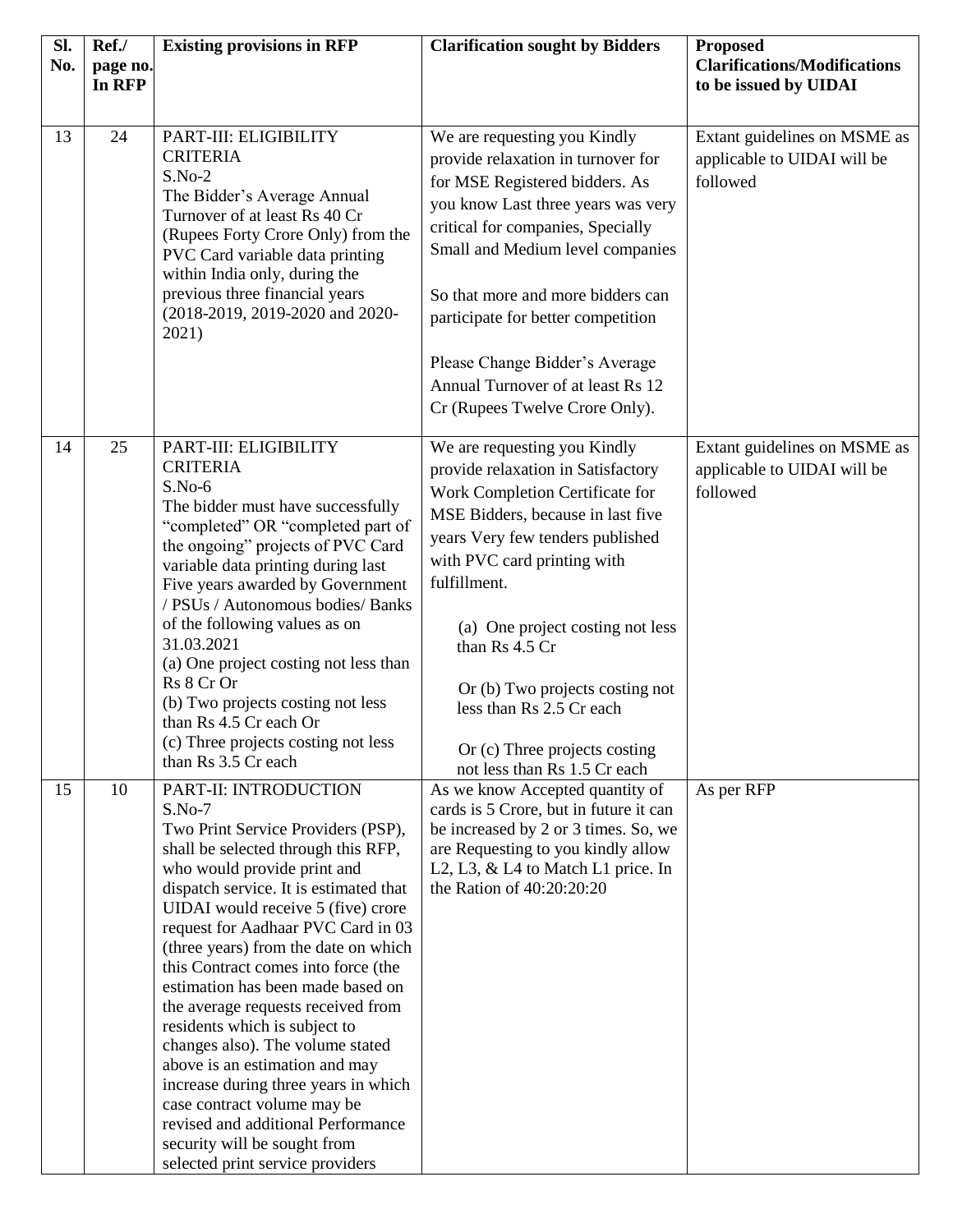| Sl.<br>No. | Ref./<br>page no. | <b>Existing provisions in RFP</b>                                                                                                                                                                                                                                                                                                                                                                                                                                                                                                                                                                                                                                                                                     | <b>Clarification sought by Bidders</b>                                                                                                                                                                                     | <b>Proposed</b><br><b>Clarifications/Modifications</b>                  |
|------------|-------------------|-----------------------------------------------------------------------------------------------------------------------------------------------------------------------------------------------------------------------------------------------------------------------------------------------------------------------------------------------------------------------------------------------------------------------------------------------------------------------------------------------------------------------------------------------------------------------------------------------------------------------------------------------------------------------------------------------------------------------|----------------------------------------------------------------------------------------------------------------------------------------------------------------------------------------------------------------------------|-------------------------------------------------------------------------|
|            | In RFP            |                                                                                                                                                                                                                                                                                                                                                                                                                                                                                                                                                                                                                                                                                                                       |                                                                                                                                                                                                                            | to be issued by UIDAI                                                   |
| 13         | 24                | PART-III: ELIGIBILITY<br><b>CRITERIA</b><br>$S.No-2$                                                                                                                                                                                                                                                                                                                                                                                                                                                                                                                                                                                                                                                                  | We are requesting you Kindly<br>provide relaxation in turnover for                                                                                                                                                         | Extant guidelines on MSME as<br>applicable to UIDAI will be             |
|            |                   | The Bidder's Average Annual<br>Turnover of at least Rs 40 Cr<br>(Rupees Forty Crore Only) from the<br>PVC Card variable data printing                                                                                                                                                                                                                                                                                                                                                                                                                                                                                                                                                                                 | for MSE Registered bidders. As<br>you know Last three years was very<br>critical for companies, Specially<br>Small and Medium level companies                                                                              | followed                                                                |
|            |                   | within India only, during the<br>previous three financial years<br>(2018-2019, 2019-2020 and 2020-<br>2021)                                                                                                                                                                                                                                                                                                                                                                                                                                                                                                                                                                                                           | So that more and more bidders can<br>participate for better competition                                                                                                                                                    |                                                                         |
|            |                   |                                                                                                                                                                                                                                                                                                                                                                                                                                                                                                                                                                                                                                                                                                                       | Please Change Bidder's Average<br>Annual Turnover of at least Rs 12<br>Cr (Rupees Twelve Crore Only).                                                                                                                      |                                                                         |
| 14         | 25                | PART-III: ELIGIBILITY<br><b>CRITERIA</b><br>$S.No-6$                                                                                                                                                                                                                                                                                                                                                                                                                                                                                                                                                                                                                                                                  | We are requesting you Kindly<br>provide relaxation in Satisfactory<br>Work Completion Certificate for                                                                                                                      | Extant guidelines on MSME as<br>applicable to UIDAI will be<br>followed |
|            |                   | The bidder must have successfully<br>"completed" OR "completed part of<br>the ongoing" projects of PVC Card<br>variable data printing during last<br>Five years awarded by Government<br>/ PSUs / Autonomous bodies/ Banks                                                                                                                                                                                                                                                                                                                                                                                                                                                                                            | MSE Bidders, because in last five<br>years Very few tenders published<br>with PVC card printing with<br>fulfillment.                                                                                                       |                                                                         |
|            |                   | of the following values as on<br>31.03.2021<br>(a) One project costing not less than                                                                                                                                                                                                                                                                                                                                                                                                                                                                                                                                                                                                                                  | (a) One project costing not less<br>than Rs 4.5 Cr                                                                                                                                                                         |                                                                         |
|            |                   | Rs 8 Cr Or<br>(b) Two projects costing not less<br>than Rs 4.5 Cr each Or                                                                                                                                                                                                                                                                                                                                                                                                                                                                                                                                                                                                                                             | Or (b) Two projects costing not<br>less than Rs 2.5 Cr each                                                                                                                                                                |                                                                         |
|            |                   | (c) Three projects costing not less<br>than Rs 3.5 Cr each                                                                                                                                                                                                                                                                                                                                                                                                                                                                                                                                                                                                                                                            | Or (c) Three projects costing<br>not less than Rs 1.5 Cr each                                                                                                                                                              |                                                                         |
| 15         | 10                | PART-II: INTRODUCTION<br>$S.No-7$<br>Two Print Service Providers (PSP),<br>shall be selected through this RFP,<br>who would provide print and<br>dispatch service. It is estimated that<br>UIDAI would receive 5 (five) crore<br>request for Aadhaar PVC Card in 03<br>(three years) from the date on which<br>this Contract comes into force (the<br>estimation has been made based on<br>the average requests received from<br>residents which is subject to<br>changes also). The volume stated<br>above is an estimation and may<br>increase during three years in which<br>case contract volume may be<br>revised and additional Performance<br>security will be sought from<br>selected print service providers | As we know Accepted quantity of<br>cards is 5 Crore, but in future it can<br>be increased by 2 or 3 times. So, we<br>are Requesting to you kindly allow<br>L2, L3, & L4 to Match L1 price. In<br>the Ration of 40:20:20:20 | As per RFP                                                              |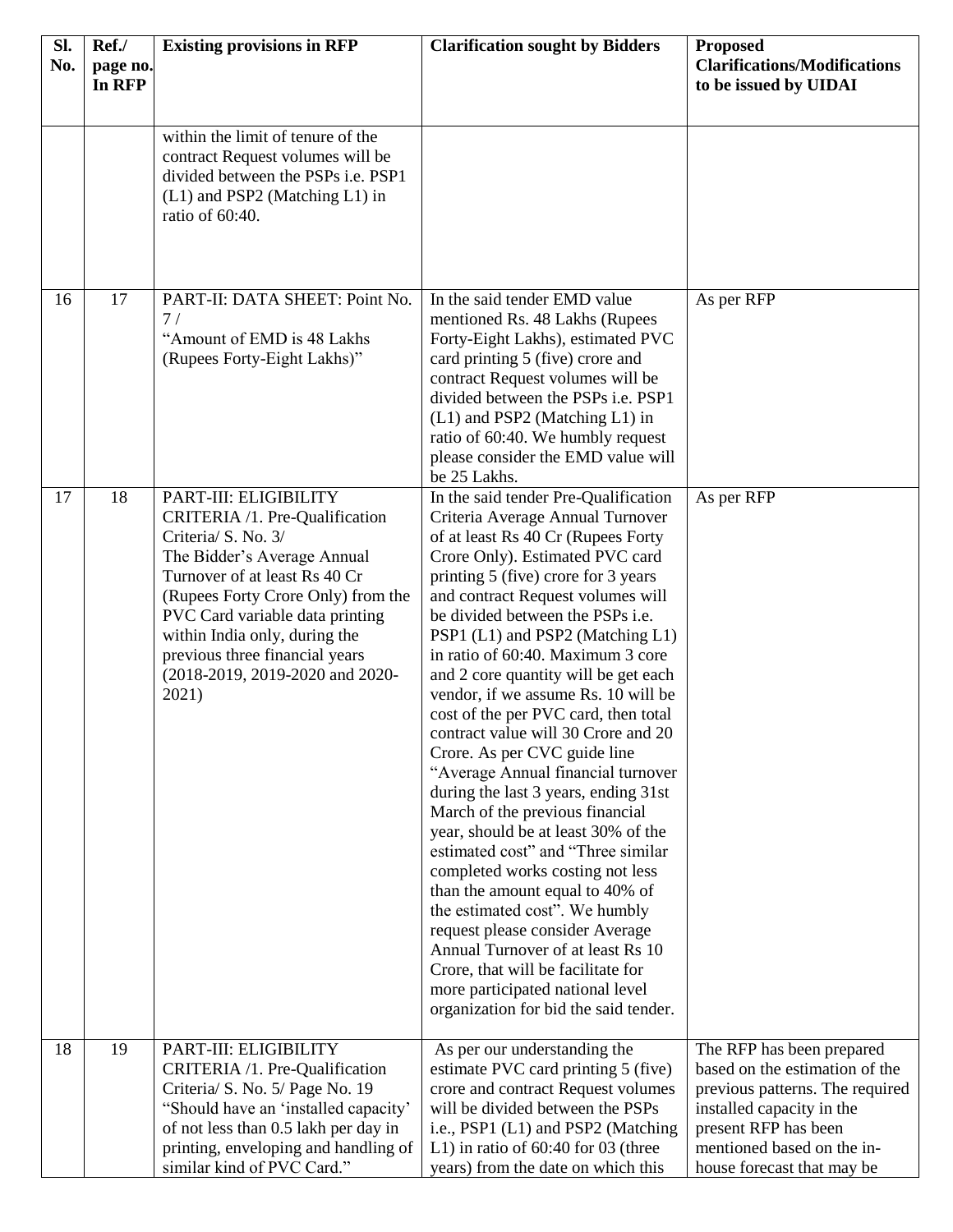| Sl.<br>No. | Ref./<br>page no. | <b>Existing provisions in RFP</b>                                                                                                                                                                                                                                                                                                      | <b>Clarification sought by Bidders</b>                                                                                                                                                                                                                                                                                                                                                                                                                                                                                                                                                                                                                                                                                                                                                                                                                                                                                                                                                                                                     | <b>Proposed</b><br><b>Clarifications/Modifications</b>                                                                                                                                                          |
|------------|-------------------|----------------------------------------------------------------------------------------------------------------------------------------------------------------------------------------------------------------------------------------------------------------------------------------------------------------------------------------|--------------------------------------------------------------------------------------------------------------------------------------------------------------------------------------------------------------------------------------------------------------------------------------------------------------------------------------------------------------------------------------------------------------------------------------------------------------------------------------------------------------------------------------------------------------------------------------------------------------------------------------------------------------------------------------------------------------------------------------------------------------------------------------------------------------------------------------------------------------------------------------------------------------------------------------------------------------------------------------------------------------------------------------------|-----------------------------------------------------------------------------------------------------------------------------------------------------------------------------------------------------------------|
|            | In RFP            |                                                                                                                                                                                                                                                                                                                                        |                                                                                                                                                                                                                                                                                                                                                                                                                                                                                                                                                                                                                                                                                                                                                                                                                                                                                                                                                                                                                                            | to be issued by UIDAI                                                                                                                                                                                           |
|            |                   | within the limit of tenure of the<br>contract Request volumes will be<br>divided between the PSPs i.e. PSP1<br>(L1) and PSP2 (Matching L1) in<br>ratio of 60:40.                                                                                                                                                                       |                                                                                                                                                                                                                                                                                                                                                                                                                                                                                                                                                                                                                                                                                                                                                                                                                                                                                                                                                                                                                                            |                                                                                                                                                                                                                 |
| 16         | 17                | PART-II: DATA SHEET: Point No.<br>7/<br>"Amount of EMD is 48 Lakhs<br>(Rupees Forty-Eight Lakhs)"                                                                                                                                                                                                                                      | In the said tender EMD value<br>mentioned Rs. 48 Lakhs (Rupees<br>Forty-Eight Lakhs), estimated PVC<br>card printing 5 (five) crore and<br>contract Request volumes will be<br>divided between the PSPs i.e. PSP1<br>(L1) and PSP2 (Matching L1) in<br>ratio of 60:40. We humbly request<br>please consider the EMD value will<br>be 25 Lakhs.                                                                                                                                                                                                                                                                                                                                                                                                                                                                                                                                                                                                                                                                                             | As per RFP                                                                                                                                                                                                      |
| 17         | 18                | PART-III: ELIGIBILITY<br>CRITERIA /1. Pre-Qualification<br>Criteria/ S. No. 3/<br>The Bidder's Average Annual<br>Turnover of at least Rs 40 Cr<br>(Rupees Forty Crore Only) from the<br>PVC Card variable data printing<br>within India only, during the<br>previous three financial years<br>(2018-2019, 2019-2020 and 2020-<br>2021) | In the said tender Pre-Qualification<br>Criteria Average Annual Turnover<br>of at least Rs 40 Cr (Rupees Forty<br>Crore Only). Estimated PVC card<br>printing 5 (five) crore for 3 years<br>and contract Request volumes will<br>be divided between the PSPs i.e.<br>PSP1 (L1) and PSP2 (Matching L1)<br>in ratio of 60:40. Maximum 3 core<br>and 2 core quantity will be get each<br>vendor, if we assume Rs. 10 will be<br>cost of the per PVC card, then total<br>contract value will 30 Crore and 20<br>Crore. As per CVC guide line<br>"Average Annual financial turnover<br>during the last 3 years, ending 31st<br>March of the previous financial<br>year, should be at least 30% of the<br>estimated cost" and "Three similar<br>completed works costing not less<br>than the amount equal to 40% of<br>the estimated cost". We humbly<br>request please consider Average<br>Annual Turnover of at least Rs 10<br>Crore, that will be facilitate for<br>more participated national level<br>organization for bid the said tender. | As per RFP                                                                                                                                                                                                      |
| 18         | 19                | PART-III: ELIGIBILITY<br>CRITERIA /1. Pre-Qualification<br>Criteria/ S. No. 5/ Page No. 19<br>"Should have an 'installed capacity'<br>of not less than 0.5 lakh per day in<br>printing, enveloping and handling of<br>similar kind of PVC Card."                                                                                       | As per our understanding the<br>estimate PVC card printing 5 (five)<br>crore and contract Request volumes<br>will be divided between the PSPs<br>i.e., PSP1 (L1) and PSP2 (Matching<br>L1) in ratio of $60:40$ for 03 (three<br>years) from the date on which this                                                                                                                                                                                                                                                                                                                                                                                                                                                                                                                                                                                                                                                                                                                                                                         | The RFP has been prepared<br>based on the estimation of the<br>previous patterns. The required<br>installed capacity in the<br>present RFP has been<br>mentioned based on the in-<br>house forecast that may be |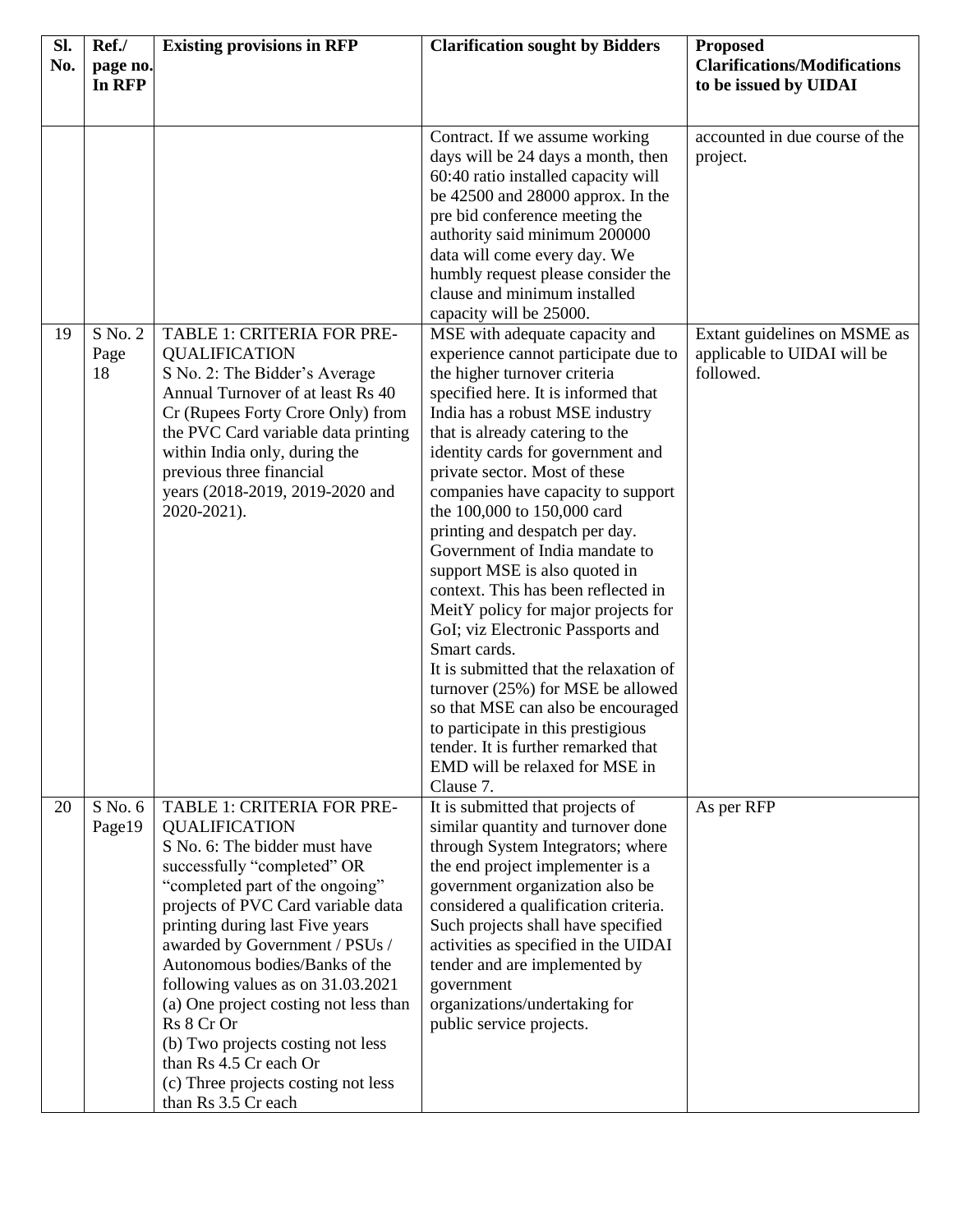| Sl.<br>No. | Ref./<br>page no.              | <b>Existing provisions in RFP</b>                                                                                                                                                                                                                                                                                                                                                                                                                                                                                           | <b>Clarification sought by Bidders</b>                                                                                                                                                                                                                                                                                                                                                                                                                                                                                                                                                                                                                                                                                                                                                                                                                                                                                                                                                                                                                                                                                                                                                                 | <b>Proposed</b><br><b>Clarifications/Modifications</b>                                                                 |
|------------|--------------------------------|-----------------------------------------------------------------------------------------------------------------------------------------------------------------------------------------------------------------------------------------------------------------------------------------------------------------------------------------------------------------------------------------------------------------------------------------------------------------------------------------------------------------------------|--------------------------------------------------------------------------------------------------------------------------------------------------------------------------------------------------------------------------------------------------------------------------------------------------------------------------------------------------------------------------------------------------------------------------------------------------------------------------------------------------------------------------------------------------------------------------------------------------------------------------------------------------------------------------------------------------------------------------------------------------------------------------------------------------------------------------------------------------------------------------------------------------------------------------------------------------------------------------------------------------------------------------------------------------------------------------------------------------------------------------------------------------------------------------------------------------------|------------------------------------------------------------------------------------------------------------------------|
|            | In RFP                         |                                                                                                                                                                                                                                                                                                                                                                                                                                                                                                                             |                                                                                                                                                                                                                                                                                                                                                                                                                                                                                                                                                                                                                                                                                                                                                                                                                                                                                                                                                                                                                                                                                                                                                                                                        | to be issued by UIDAI                                                                                                  |
| 19         | $S \text{No.}$ 2<br>Page<br>18 | TABLE 1: CRITERIA FOR PRE-<br><b>QUALIFICATION</b><br>S No. 2: The Bidder's Average<br>Annual Turnover of at least Rs 40<br>Cr (Rupees Forty Crore Only) from<br>the PVC Card variable data printing<br>within India only, during the<br>previous three financial<br>years (2018-2019, 2019-2020 and<br>2020-2021).                                                                                                                                                                                                         | Contract. If we assume working<br>days will be 24 days a month, then<br>60:40 ratio installed capacity will<br>be $42500$ and $28000$ approx. In the<br>pre bid conference meeting the<br>authority said minimum 200000<br>data will come every day. We<br>humbly request please consider the<br>clause and minimum installed<br>capacity will be 25000.<br>MSE with adequate capacity and<br>experience cannot participate due to<br>the higher turnover criteria<br>specified here. It is informed that<br>India has a robust MSE industry<br>that is already catering to the<br>identity cards for government and<br>private sector. Most of these<br>companies have capacity to support<br>the 100,000 to 150,000 card<br>printing and despatch per day.<br>Government of India mandate to<br>support MSE is also quoted in<br>context. This has been reflected in<br>MeitY policy for major projects for<br>GoI; viz Electronic Passports and<br>Smart cards.<br>It is submitted that the relaxation of<br>turnover (25%) for MSE be allowed<br>so that MSE can also be encouraged<br>to participate in this prestigious<br>tender. It is further remarked that<br>EMD will be relaxed for MSE in | accounted in due course of the<br>project.<br>Extant guidelines on MSME as<br>applicable to UIDAI will be<br>followed. |
| 20         | S No. 6<br>Page19              | TABLE 1: CRITERIA FOR PRE-<br><b>QUALIFICATION</b><br>S No. 6: The bidder must have<br>successfully "completed" OR<br>"completed part of the ongoing"<br>projects of PVC Card variable data<br>printing during last Five years<br>awarded by Government / PSUs /<br>Autonomous bodies/Banks of the<br>following values as on 31.03.2021<br>(a) One project costing not less than<br>Rs 8 Cr Or<br>(b) Two projects costing not less<br>than Rs 4.5 Cr each Or<br>(c) Three projects costing not less<br>than Rs 3.5 Cr each | Clause 7.<br>It is submitted that projects of<br>similar quantity and turnover done<br>through System Integrators; where<br>the end project implementer is a<br>government organization also be<br>considered a qualification criteria.<br>Such projects shall have specified<br>activities as specified in the UIDAI<br>tender and are implemented by<br>government<br>organizations/undertaking for<br>public service projects.                                                                                                                                                                                                                                                                                                                                                                                                                                                                                                                                                                                                                                                                                                                                                                      | As per RFP                                                                                                             |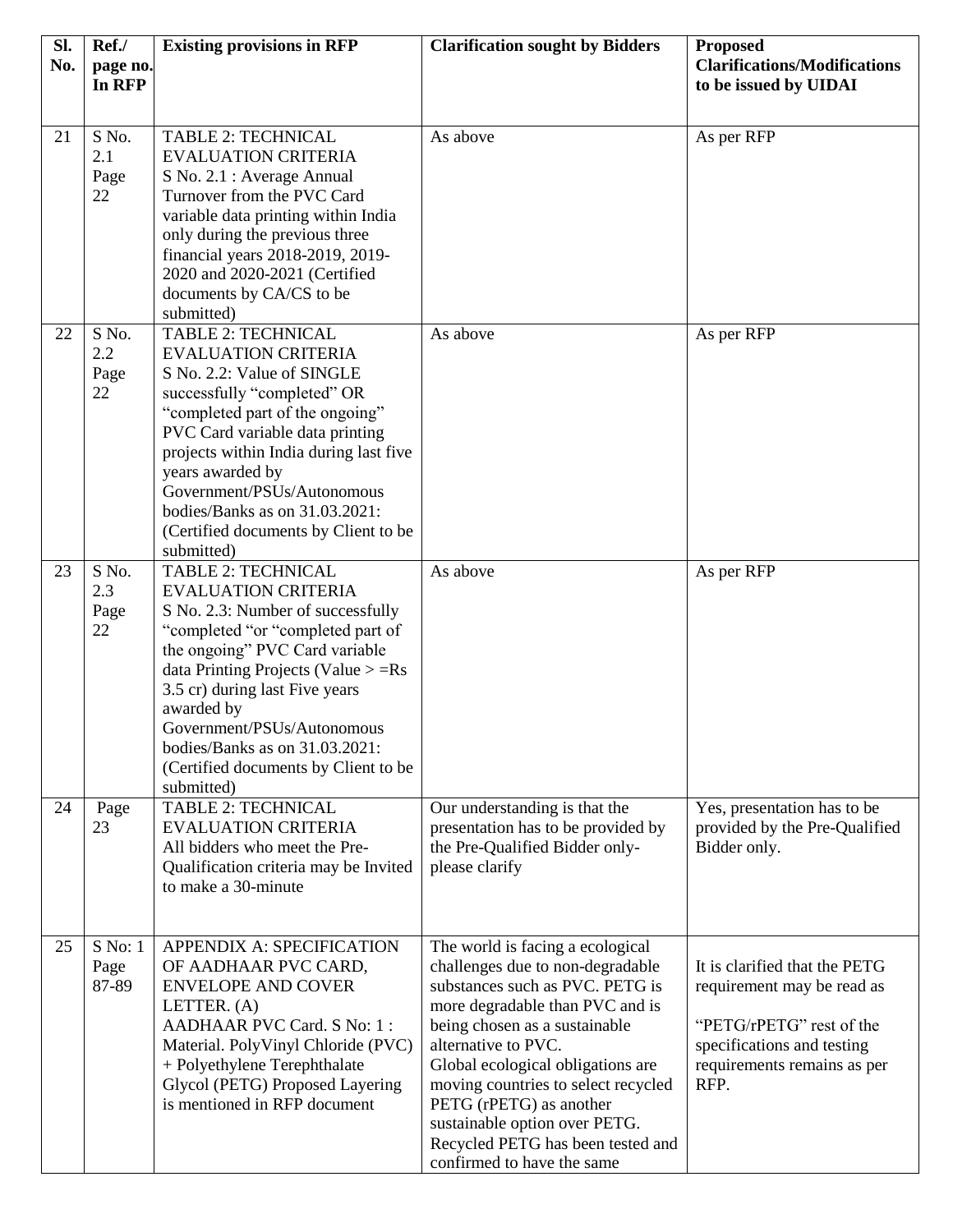| Sl. | Ref./                      | <b>Existing provisions in RFP</b>                                                                                                                                                                                                                                                                                                                                                   | <b>Clarification sought by Bidders</b>                                                                                                                                                                                                                                                                                                                                                                        | <b>Proposed</b>                                                                                                                                              |
|-----|----------------------------|-------------------------------------------------------------------------------------------------------------------------------------------------------------------------------------------------------------------------------------------------------------------------------------------------------------------------------------------------------------------------------------|---------------------------------------------------------------------------------------------------------------------------------------------------------------------------------------------------------------------------------------------------------------------------------------------------------------------------------------------------------------------------------------------------------------|--------------------------------------------------------------------------------------------------------------------------------------------------------------|
| No. | page no.<br>In RFP         |                                                                                                                                                                                                                                                                                                                                                                                     |                                                                                                                                                                                                                                                                                                                                                                                                               | <b>Clarifications/Modifications</b><br>to be issued by UIDAI                                                                                                 |
|     |                            |                                                                                                                                                                                                                                                                                                                                                                                     |                                                                                                                                                                                                                                                                                                                                                                                                               |                                                                                                                                                              |
| 21  | S No.<br>2.1<br>Page<br>22 | <b>TABLE 2: TECHNICAL</b><br><b>EVALUATION CRITERIA</b><br>S No. 2.1 : Average Annual<br>Turnover from the PVC Card<br>variable data printing within India<br>only during the previous three<br>financial years 2018-2019, 2019-<br>2020 and 2020-2021 (Certified<br>documents by CA/CS to be<br>submitted)                                                                         | As above                                                                                                                                                                                                                                                                                                                                                                                                      | As per RFP                                                                                                                                                   |
| 22  | S No.<br>2.2<br>Page<br>22 | <b>TABLE 2: TECHNICAL</b><br><b>EVALUATION CRITERIA</b><br>S No. 2.2: Value of SINGLE<br>successfully "completed" OR<br>"completed part of the ongoing"<br>PVC Card variable data printing<br>projects within India during last five<br>years awarded by<br>Government/PSUs/Autonomous<br>bodies/Banks as on 31.03.2021:<br>(Certified documents by Client to be<br>submitted)      | As above                                                                                                                                                                                                                                                                                                                                                                                                      | As per RFP                                                                                                                                                   |
| 23  | S No.<br>2.3<br>Page<br>22 | <b>TABLE 2: TECHNICAL</b><br><b>EVALUATION CRITERIA</b><br>S No. 2.3: Number of successfully<br>"completed "or "completed part of<br>the ongoing" PVC Card variable<br>data Printing Projects (Value $> =$ Rs<br>3.5 cr) during last Five years<br>awarded by<br>Government/PSUs/Autonomous<br>bodies/Banks as on 31.03.2021:<br>(Certified documents by Client to be<br>submitted) | As above                                                                                                                                                                                                                                                                                                                                                                                                      | As per RFP                                                                                                                                                   |
| 24  | Page<br>23                 | <b>TABLE 2: TECHNICAL</b><br><b>EVALUATION CRITERIA</b><br>All bidders who meet the Pre-<br>Qualification criteria may be Invited<br>to make a 30-minute                                                                                                                                                                                                                            | Our understanding is that the<br>presentation has to be provided by<br>the Pre-Qualified Bidder only-<br>please clarify                                                                                                                                                                                                                                                                                       | Yes, presentation has to be<br>provided by the Pre-Qualified<br>Bidder only.                                                                                 |
| 25  | S No: 1<br>Page<br>87-89   | <b>APPENDIX A: SPECIFICATION</b><br>OF AADHAAR PVC CARD,<br><b>ENVELOPE AND COVER</b><br>LETTER. (A)<br>AADHAAR PVC Card. S No: 1:<br>Material. PolyVinyl Chloride (PVC)<br>+ Polyethylene Terephthalate<br>Glycol (PETG) Proposed Layering<br>is mentioned in RFP document                                                                                                         | The world is facing a ecological<br>challenges due to non-degradable<br>substances such as PVC. PETG is<br>more degradable than PVC and is<br>being chosen as a sustainable<br>alternative to PVC.<br>Global ecological obligations are<br>moving countries to select recycled<br>PETG (rPETG) as another<br>sustainable option over PETG.<br>Recycled PETG has been tested and<br>confirmed to have the same | It is clarified that the PETG<br>requirement may be read as<br>"PETG/rPETG" rest of the<br>specifications and testing<br>requirements remains as per<br>RFP. |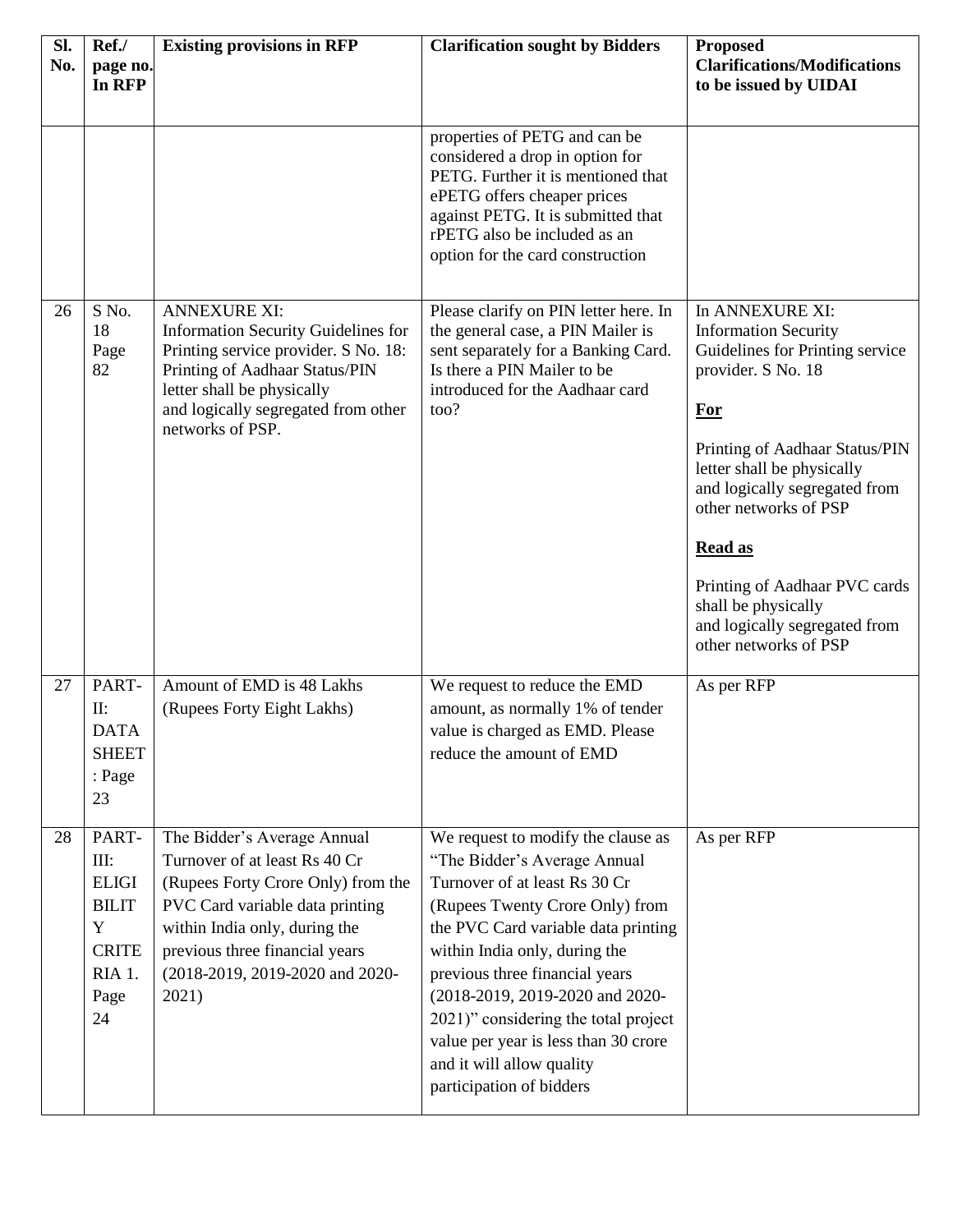| Sl.<br>No. | Ref./<br>page no.<br>In RFP                                                                | <b>Existing provisions in RFP</b>                                                                                                                                                                                                                    | <b>Clarification sought by Bidders</b>                                                                                                                                                                                                                                                                                                                                                                                       | <b>Proposed</b><br><b>Clarifications/Modifications</b><br>to be issued by UIDAI                                                                                                                                                                                                                                                                                                     |
|------------|--------------------------------------------------------------------------------------------|------------------------------------------------------------------------------------------------------------------------------------------------------------------------------------------------------------------------------------------------------|------------------------------------------------------------------------------------------------------------------------------------------------------------------------------------------------------------------------------------------------------------------------------------------------------------------------------------------------------------------------------------------------------------------------------|-------------------------------------------------------------------------------------------------------------------------------------------------------------------------------------------------------------------------------------------------------------------------------------------------------------------------------------------------------------------------------------|
|            |                                                                                            |                                                                                                                                                                                                                                                      | properties of PETG and can be<br>considered a drop in option for<br>PETG. Further it is mentioned that<br>ePETG offers cheaper prices<br>against PETG. It is submitted that<br>rPETG also be included as an<br>option for the card construction                                                                                                                                                                              |                                                                                                                                                                                                                                                                                                                                                                                     |
| 26         | S No.<br>18<br>Page<br>82                                                                  | <b>ANNEXURE XI:</b><br>Information Security Guidelines for<br>Printing service provider. S No. 18:<br>Printing of Aadhaar Status/PIN<br>letter shall be physically<br>and logically segregated from other<br>networks of PSP.                        | Please clarify on PIN letter here. In<br>the general case, a PIN Mailer is<br>sent separately for a Banking Card.<br>Is there a PIN Mailer to be<br>introduced for the Aadhaar card<br>too?                                                                                                                                                                                                                                  | In ANNEXURE XI:<br><b>Information Security</b><br>Guidelines for Printing service<br>provider. S No. 18<br><b>For</b><br>Printing of Aadhaar Status/PIN<br>letter shall be physically<br>and logically segregated from<br>other networks of PSP<br><b>Read as</b><br>Printing of Aadhaar PVC cards<br>shall be physically<br>and logically segregated from<br>other networks of PSP |
| 27         | PART-<br>$\prod$ :<br><b>DATA</b><br><b>SHEET</b><br>: Page<br>23                          | Amount of EMD is 48 Lakhs<br>(Rupees Forty Eight Lakhs)                                                                                                                                                                                              | We request to reduce the EMD<br>amount, as normally 1% of tender<br>value is charged as EMD. Please<br>reduce the amount of EMD                                                                                                                                                                                                                                                                                              | As per RFP                                                                                                                                                                                                                                                                                                                                                                          |
| 28         | PART-<br>III:<br><b>ELIGI</b><br><b>BILIT</b><br>Y<br><b>CRITE</b><br>RIA 1.<br>Page<br>24 | The Bidder's Average Annual<br>Turnover of at least Rs 40 Cr<br>(Rupees Forty Crore Only) from the<br>PVC Card variable data printing<br>within India only, during the<br>previous three financial years<br>(2018-2019, 2019-2020 and 2020-<br>2021) | We request to modify the clause as<br>"The Bidder's Average Annual<br>Turnover of at least Rs 30 Cr<br>(Rupees Twenty Crore Only) from<br>the PVC Card variable data printing<br>within India only, during the<br>previous three financial years<br>(2018-2019, 2019-2020 and 2020-<br>2021)" considering the total project<br>value per year is less than 30 crore<br>and it will allow quality<br>participation of bidders | As per RFP                                                                                                                                                                                                                                                                                                                                                                          |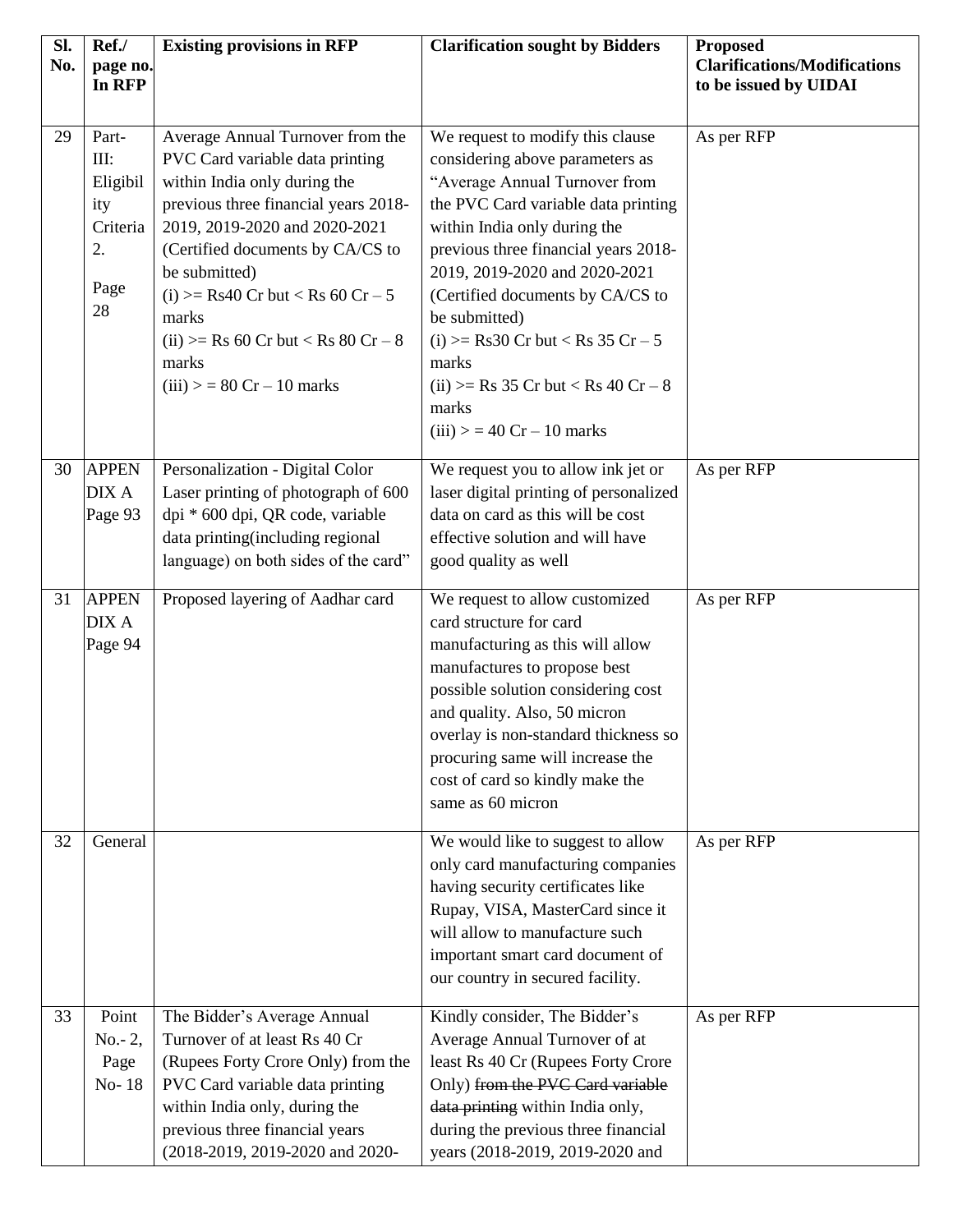| Sl.<br>No. | Ref./<br>page no.<br>In RFP                                      | <b>Existing provisions in RFP</b>                                                                                                                                                                                                                                                                                                                                        | <b>Clarification sought by Bidders</b>                                                                                                                                                                                                                                                                                                                                                                                                      | <b>Proposed</b><br><b>Clarifications/Modifications</b><br>to be issued by UIDAI |
|------------|------------------------------------------------------------------|--------------------------------------------------------------------------------------------------------------------------------------------------------------------------------------------------------------------------------------------------------------------------------------------------------------------------------------------------------------------------|---------------------------------------------------------------------------------------------------------------------------------------------------------------------------------------------------------------------------------------------------------------------------------------------------------------------------------------------------------------------------------------------------------------------------------------------|---------------------------------------------------------------------------------|
| 29         | Part-<br>III:<br>Eligibil<br>ity<br>Criteria<br>2.<br>Page<br>28 | Average Annual Turnover from the<br>PVC Card variable data printing<br>within India only during the<br>previous three financial years 2018-<br>2019, 2019-2020 and 2020-2021<br>(Certified documents by CA/CS to<br>be submitted)<br>(i) $>=$ Rs40 Cr but $<$ Rs 60 Cr $-5$<br>marks<br>(ii) $>=$ Rs 60 Cr but $<$ Rs 80 Cr $-$ 8<br>marks<br>$(iii) > 80$ Cr - 10 marks | We request to modify this clause<br>considering above parameters as<br>"Average Annual Turnover from<br>the PVC Card variable data printing<br>within India only during the<br>previous three financial years 2018-<br>2019, 2019-2020 and 2020-2021<br>(Certified documents by CA/CS to<br>be submitted)<br>(i) $>=$ Rs30 Cr but $<$ Rs 35 Cr $-$ 5<br>marks<br>(ii) >= Rs 35 Cr but < Rs 40 Cr – 8<br>marks<br>$(iii) > 40$ Cr - 10 marks | As per RFP                                                                      |
| 30         | <b>APPEN</b><br>DIX A<br>Page 93                                 | Personalization - Digital Color<br>Laser printing of photograph of 600<br>dpi * 600 dpi, QR code, variable<br>data printing(including regional<br>language) on both sides of the card"                                                                                                                                                                                   | We request you to allow ink jet or<br>laser digital printing of personalized<br>data on card as this will be cost<br>effective solution and will have<br>good quality as well                                                                                                                                                                                                                                                               | As per RFP                                                                      |
| 31         | <b>APPEN</b><br><b>DIX A</b><br>Page 94                          | Proposed layering of Aadhar card                                                                                                                                                                                                                                                                                                                                         | We request to allow customized<br>card structure for card<br>manufacturing as this will allow<br>manufactures to propose best<br>possible solution considering cost<br>and quality. Also, 50 micron<br>overlay is non-standard thickness so<br>procuring same will increase the<br>cost of card so kindly make the<br>same as 60 micron                                                                                                     | As per RFP                                                                      |
| 32         | General                                                          |                                                                                                                                                                                                                                                                                                                                                                          | We would like to suggest to allow<br>only card manufacturing companies<br>having security certificates like<br>Rupay, VISA, MasterCard since it<br>will allow to manufacture such<br>important smart card document of<br>our country in secured facility.                                                                                                                                                                                   | As per RFP                                                                      |
| 33         | Point<br>$No. - 2,$<br>Page<br>No-18                             | The Bidder's Average Annual<br>Turnover of at least Rs 40 Cr<br>(Rupees Forty Crore Only) from the<br>PVC Card variable data printing<br>within India only, during the<br>previous three financial years<br>(2018-2019, 2019-2020 and 2020-                                                                                                                              | Kindly consider, The Bidder's<br>Average Annual Turnover of at<br>least Rs 40 Cr (Rupees Forty Crore<br>Only) from the PVC Card variable<br>data printing within India only,<br>during the previous three financial<br>years (2018-2019, 2019-2020 and                                                                                                                                                                                      | As per RFP                                                                      |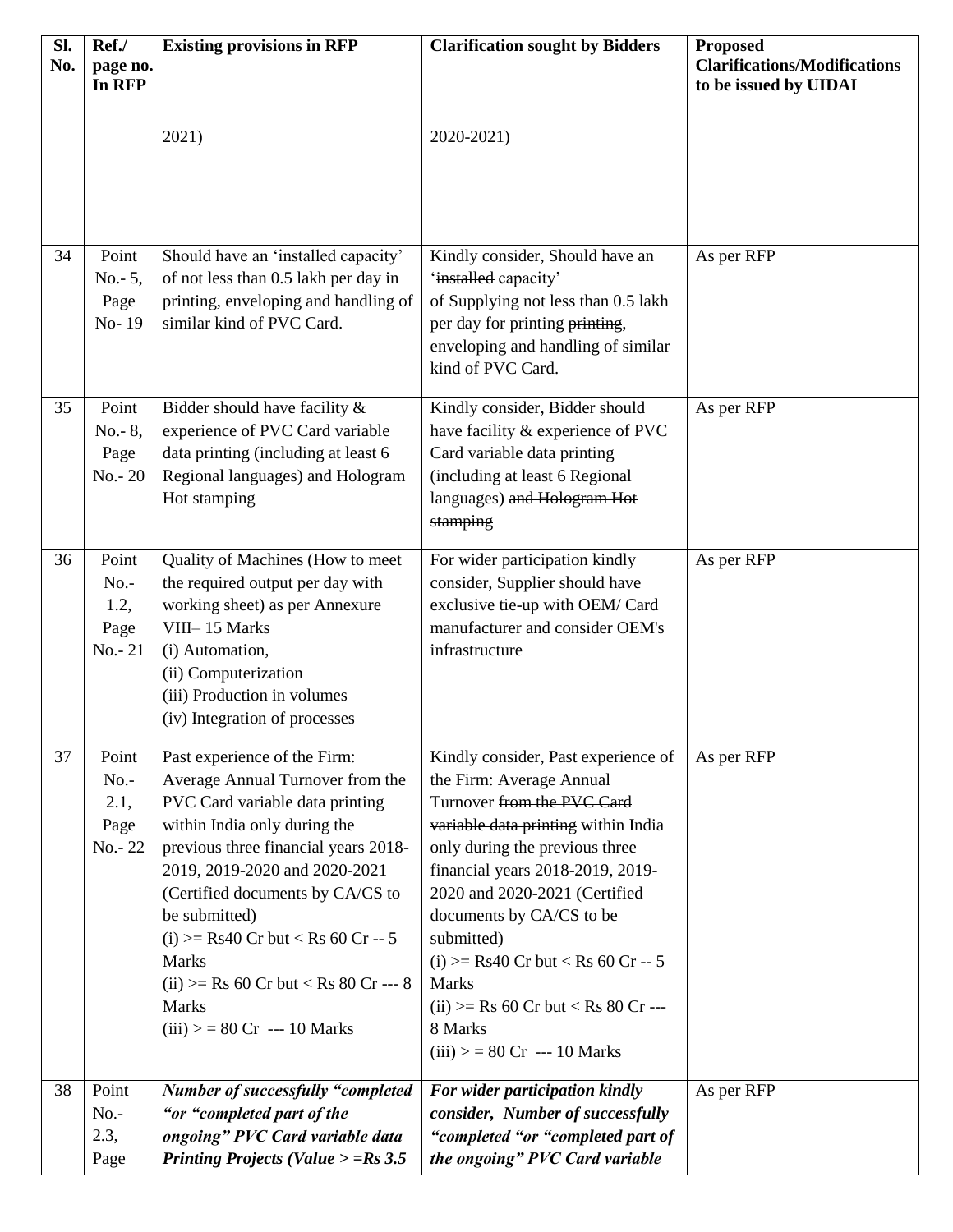| Sl.<br>No. | Ref./<br>page no.<br>In RFP                    | <b>Existing provisions in RFP</b>                                                                                                                                                                                                                                                                                                                                                                                   | <b>Clarification sought by Bidders</b>                                                                                                                                                                                                                                                                                                                                                                                                | <b>Proposed</b><br><b>Clarifications/Modifications</b><br>to be issued by UIDAI |
|------------|------------------------------------------------|---------------------------------------------------------------------------------------------------------------------------------------------------------------------------------------------------------------------------------------------------------------------------------------------------------------------------------------------------------------------------------------------------------------------|---------------------------------------------------------------------------------------------------------------------------------------------------------------------------------------------------------------------------------------------------------------------------------------------------------------------------------------------------------------------------------------------------------------------------------------|---------------------------------------------------------------------------------|
|            |                                                | 2021)                                                                                                                                                                                                                                                                                                                                                                                                               | 2020-2021)                                                                                                                                                                                                                                                                                                                                                                                                                            |                                                                                 |
| 34         | Point<br>$No. - 5,$<br>Page<br>No-19           | Should have an 'installed capacity'<br>of not less than 0.5 lakh per day in<br>printing, enveloping and handling of<br>similar kind of PVC Card.                                                                                                                                                                                                                                                                    | Kindly consider, Should have an<br>'installed capacity'<br>of Supplying not less than 0.5 lakh<br>per day for printing printing,<br>enveloping and handling of similar<br>kind of PVC Card.                                                                                                                                                                                                                                           | As per RFP                                                                      |
| 35         | Point<br>$No. - 8,$<br>Page<br>$No. - 20$      | Bidder should have facility &<br>experience of PVC Card variable<br>data printing (including at least 6<br>Regional languages) and Hologram<br>Hot stamping                                                                                                                                                                                                                                                         | Kindly consider, Bidder should<br>have facility & experience of PVC<br>Card variable data printing<br>(including at least 6 Regional<br>languages) and Hologram Hot<br>stamping                                                                                                                                                                                                                                                       | As per RFP                                                                      |
| 36         | Point<br>$No. -$<br>1.2,<br>Page<br>$No. - 21$ | Quality of Machines (How to meet<br>the required output per day with<br>working sheet) as per Annexure<br>VIII-15 Marks<br>(i) Automation,<br>(ii) Computerization<br>(iii) Production in volumes<br>(iv) Integration of processes                                                                                                                                                                                  | For wider participation kindly<br>consider, Supplier should have<br>exclusive tie-up with OEM/ Card<br>manufacturer and consider OEM's<br>infrastructure                                                                                                                                                                                                                                                                              | As per RFP                                                                      |
| 37         | Point<br>$No. -$<br>2.1,<br>Page<br>No.-22     | Past experience of the Firm:<br>Average Annual Turnover from the<br>PVC Card variable data printing<br>within India only during the<br>previous three financial years 2018-<br>2019, 2019-2020 and 2020-2021<br>(Certified documents by CA/CS to<br>be submitted)<br>(i) $>=$ Rs40 Cr but $<$ Rs 60 Cr -- 5<br>Marks<br>(ii) $>=$ Rs 60 Cr but $<$ Rs 80 Cr --- 8<br><b>Marks</b><br>$(iii) >$ = 80 Cr --- 10 Marks | Kindly consider, Past experience of<br>the Firm: Average Annual<br>Turnover from the PVC Card<br>variable data printing within India<br>only during the previous three<br>financial years 2018-2019, 2019-<br>2020 and 2020-2021 (Certified<br>documents by CA/CS to be<br>submitted)<br>(i) $>=$ Rs40 Cr but < Rs 60 Cr -- 5<br><b>Marks</b><br>(ii) $>=$ Rs 60 Cr but $<$ Rs 80 Cr ---<br>8 Marks<br>$(iii)$ > = 80 Cr --- 10 Marks | As per RFP                                                                      |
| 38         | Point<br>$No. -$<br>2.3,<br>Page               | <b>Number of successfully "completed</b><br>"or "completed part of the<br>ongoing" PVC Card variable data<br>Printing Projects (Value $> = Rs \, 3.5$                                                                                                                                                                                                                                                               | For wider participation kindly<br>consider, Number of successfully<br>"completed "or "completed part of<br>the ongoing" PVC Card variable                                                                                                                                                                                                                                                                                             | As per RFP                                                                      |